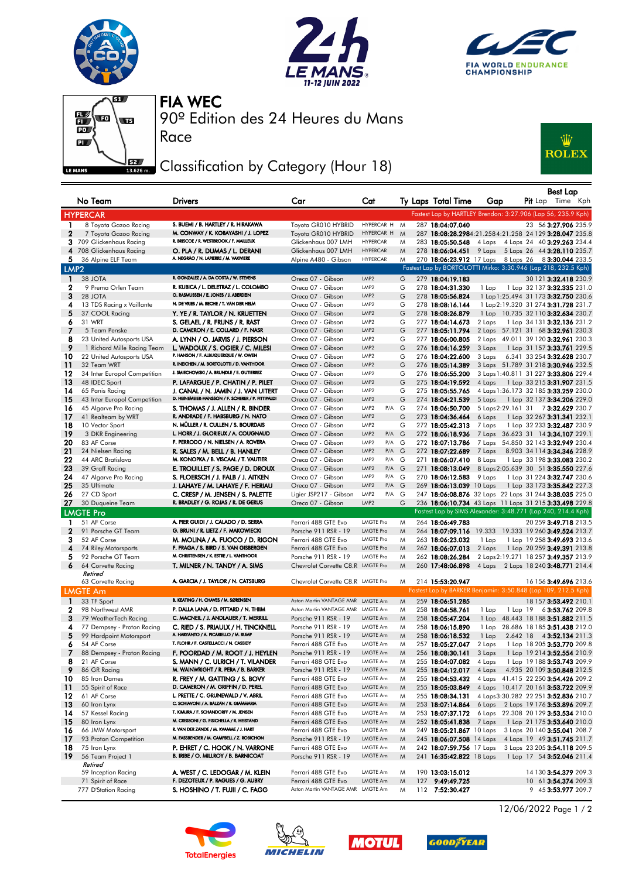







Race

90º Edition des 24 Heures du Mans FIA WEC

## Classification by Category (Hour 18)



|                   |                                                         |                                                                                |                                                           |                                             |        |                                                                         |                  |              | <b>Best Lap</b>                                                            |  |
|-------------------|---------------------------------------------------------|--------------------------------------------------------------------------------|-----------------------------------------------------------|---------------------------------------------|--------|-------------------------------------------------------------------------|------------------|--------------|----------------------------------------------------------------------------|--|
|                   | No Team                                                 | <b>Drivers</b>                                                                 | Car                                                       | Cat                                         |        | Ty Laps Total Time                                                      | Gap              |              | <b>Pit</b> Lap Time Kph                                                    |  |
|                   | <b>HYPERCAR</b>                                         |                                                                                |                                                           |                                             |        | Fastest Lap by HARTLEY Brendon: 3:27.906 (Lap 56, 235.9 Kph)            |                  |              |                                                                            |  |
| 1                 | 8 Toyota Gazoo Racing                                   | S. BUEMI / B. HARTLEY / R. HIRAKAWA                                            | Toyota GR010 HYBRID                                       | HYPERCAR H M                                |        | 287 18:04:07.040                                                        |                  |              | 23 56 3:27.906 235.9                                                       |  |
| $\mathbf{2}$      | 7 Toyota Gazoo Racing                                   | M. CONWAY / K. KOBAYASHI / J. LOPEZ                                            | Toyota GR010 HYBRID                                       | HYPERCAR H                                  | M      | 287 18:08:28.2984:21.2584:21.258 24 129 3:28.047 235.8                  |                  |              |                                                                            |  |
| 3.                | 709 Glickenhaus Racing                                  | R. BRISCOE / R. WESTBROOK / F. MAILLEUX                                        | Glickenhaus 007 LMH                                       | <b>HYPERCAR</b>                             | M      | 283 18:05:50.548                                                        | 4 Laps           |              | 4 Laps 24 40 3:29.263 234.4                                                |  |
| 5.                | 4 708 Glickenhaus Racing<br>36 Alpine ELF Team          | O. PLA / R. DUMAS / L. DERANI<br>A. NEGRÃO / N. LAPIERRE / M. VAXIVIERE        | Glickenhaus 007 LMH<br>Alpine A480 - Gibson               | <b>HYPERCAR</b><br><b>HYPERCAR</b>          | M<br>M | 278 18:06:04.451<br>270 18:06:23.912 17 Laps 8 Laps 26 8 3:30.044 233.5 |                  |              | 9 Laps 5 Laps 26 44 3:28.110 235.7                                         |  |
| LMP <sub>2</sub>  |                                                         |                                                                                |                                                           |                                             |        | Fastest Lap by BORTOLOTTI Mirko: 3:30.946 (Lap 218, 232.5 Kph)          |                  |              |                                                                            |  |
| $\mathbf{1}$      | 38 JOTA                                                 | R. GONZALEZ / A. DA COSTA / W. STEVENS                                         | Oreca 07 - Gibson                                         | LMP <sub>2</sub>                            | G      | 279 18:04:19.183                                                        |                  |              | 30 121 3:32.418 230.9                                                      |  |
| 2                 | 9 Prema Orlen Team                                      | R. KUBICA / L. DELETRAZ / L. COLOMBO                                           | Oreca 07 - Gibson                                         | LMP <sub>2</sub>                            | G      | 278 18:04:31.330                                                        | 1 Lap            |              | 1 Lap 32 137 <b>3:32.335</b> 231.0                                         |  |
| 3                 | 28 JOTA                                                 | O. RASMUSSEN / E. JONES / J. ABERDEIN                                          | Oreca 07 - Gibson                                         | LMP <sub>2</sub>                            | G      | 278 18:05:56.824                                                        |                  |              | 1 Lap 1:25.494 31 173 3:32.750 230.6                                       |  |
| 4                 | 13 TDS Racing x Vaillante                               | N. DE VRIES / M. BECHE / T. VAN DER HELM                                       | Oreca 07 - Gibson                                         | LMP2                                        | G      | 278 18:08:16.144                                                        |                  |              | 1 Lap 2:19.320 31 274 3:31.728 231.7                                       |  |
| 5                 | 37 COOL Racing                                          | Y. YE / R. TAYLOR / N. KRUETTEN                                                | Oreca 07 - Gibson                                         | LMP <sub>2</sub>                            | G      | 278 18:08:26.879                                                        |                  |              | 1 Lap 10.735 32 110 3:32.634 230.7                                         |  |
| 6                 | 31 WRT                                                  | S. GELAEL / R. FRIJNS / R. RAST                                                | Oreca 07 - Gibson                                         | LMP2                                        | G      | 277 18:04:14.673                                                        | 2 Laps           |              | 1 Lap 34 131 3:32.136 231.2                                                |  |
| -7                | 5 Team Penske                                           | D. CAMERON / E. COLLARD / F. NASR                                              | Oreca 07 - Gibson                                         | LMP2                                        | G      | 277 18:05:11.794                                                        |                  |              | 2 Laps 57.121 31 68 3:32.961 230.3                                         |  |
| 8                 | 23 United Autosports USA                                | A. LYNN / O. JARVIS / J. PIERSON                                               | Oreca 07 - Gibson                                         | LMP2<br>LMP <sub>2</sub>                    | G      | 277 18:06:00.805                                                        |                  |              | 2 Laps 49.011 39 120 3:32.961 230.3                                        |  |
| 9<br>10           | 1 Richard Mille Racing Team<br>22 United Autosports USA | L. WADOUX / S. OGIER / C. MILESI<br>P. HANSON / F. ALBUQUERQUE / W. OWEN       | Oreca 07 - Gibson<br>Oreca 07 - Gibson                    | LMP2                                        | G<br>G | 276 18:04:16.259<br>276 18:04:22.600                                    | 3 Laps<br>3 Laps |              | 1 Lap 31 157 3:33.761 229.5<br>6.341 33 254 3:32.628 230.7                 |  |
| 11                | 32 Team WRT                                             | R. INEICHEN / M. BORTOLOTTI / D. VANTHOOR                                      | Oreca 07 - Gibson                                         | LMP <sub>2</sub>                            | G      | 276 18:05:14.389                                                        |                  |              | 3 Laps 51.789 31 218 3:30.946 232.5                                        |  |
| 12                | 34 Inter Europol Competition                            | J. SMIECHOWSKI / A. BRUNDLE / E. GUTIERREZ                                     | Oreca 07 - Gibson                                         | LMP <sub>2</sub>                            | G      | 276 18:06:55.200                                                        |                  |              | 3 Laps 1:40.811 31 227 3:33.806 229.4                                      |  |
| 13                | 48 IDEC Sport                                           | P. LAFARGUE / P. CHATIN / P. PILET                                             | Oreca 07 - Gibson                                         | LMP <sub>2</sub>                            | G      | 275 18:04:19.592                                                        | 4 Laps           |              | 1 Lap 33 215 <b>3:31.907</b> 231.5                                         |  |
| 14                | 65 Panis Racing                                         | J. CANAL / N. JAMIN / J. VAN UITERT                                            | Oreca 07 - Gibson                                         | LMP <sub>2</sub>                            | G      | 275 18:05:55.765                                                        |                  |              | 4 Laps 1:36.173 32 185 3:33.259 230.0                                      |  |
| 15                | 43 Inter Europol Competition                            | D. HEINEMEIER-HANSSON / F. SCHERER / P. FITTIPALDI                             | Oreca 07 - Gibson                                         | LMP <sub>2</sub>                            | G      | 274 18:04:21.539                                                        | 5 Laps           |              | 1 Lap 32 137 3:34.206 229.0                                                |  |
| 16                | 45 Algarve Pro Racing                                   | S. THOMAS / J. ALLEN / R. BINDER                                               | Oreca 07 - Gibson                                         | P/A<br>LMP2                                 | G      | 274 18:06:50.700                                                        |                  |              | 5 Laps 2:29.161 31 7 3:32.629 230.7                                        |  |
| 17                | 41 Realteam by WRT                                      | R. ANDRADE / F. HABSBURG / N. NATO                                             | Oreca 07 - Gibson                                         | LMP <sub>2</sub>                            | G      | 273 18:04:36.464                                                        | 6 Laps           |              | 1 Lap 32 267 3:31.341 232.1                                                |  |
| 18<br>19          | 10 Vector Sport<br>3 DKR Engineering                    | N. MÜLLER / R. CULLEN / S. BOURDAIS<br>L. HORR / J. GLORIEUX / A. COUGNAUD     | Oreca 07 - Gibson<br>Oreca 07 - Gibson                    | LMP <sub>2</sub><br>P/A<br>LMP <sub>2</sub> | G<br>G | 272 18:05:42.313<br>272 18:06:18.936                                    | 7 Laps<br>7 Laps |              | 1 Lap 32 233 3:32.487 230.9<br>36.623 31 14 3:34.107 229.1                 |  |
| 20                | 83 AF Corse                                             | F. PERRODO / N. NIELSEN / A. ROVERA                                            | Oreca 07 - Gibson                                         | $P/A$ G<br>LMP2                             |        | 272 18:07:13.786                                                        | 7 Laps           |              | 54.850 32 143 3:32.949 230.4                                               |  |
| 21                | 24 Nielsen Racing                                       | R. SALES / M. BELL / B. HANLEY                                                 | Oreca 07 - Gibson                                         | LMP <sub>2</sub><br>P/A G                   |        | 272 18:07:22.689                                                        | 7 Laps           |              | 8.903 34 114 3:34.346 228.9                                                |  |
| 22                | 44 ARC Bratislava                                       | M. KONOPKA / B. VISCAAL / T. VAUTIER                                           | Oreca 07 - Gibson                                         | LMP <sub>2</sub><br>P/A G                   |        | 271 18:06:07.410                                                        | 8 Laps           |              | 1 Lap 33 198 3:33.083 230.2                                                |  |
| 23                | 39 Graff Racing                                         | E. TROUILLET / S. PAGE / D. DROUX                                              | Oreca 07 - Gibson                                         | LMP <sub>2</sub><br>P/A G                   |        | 271 18:08:13.049                                                        |                  |              | 8 Laps 2:05.639 30 51 3:35.550 227.6                                       |  |
| 24                | 47 Algarve Pro Racing                                   | S. FLOERSCH / J. FALB / J. AITKEN                                              | Oreca 07 - Gibson                                         | $P/A$ G<br>LMP2                             |        | 270 18:06:12.583                                                        | 9 Laps           |              | 1 Lap 31 224 3:32.747 230.6                                                |  |
| 25                | 35 Ultimate                                             | J. LAHAYE / M. LAHAYE / F. HERIAU                                              | Oreca 07 - Gibson                                         | LMP <sub>2</sub><br>P/A G                   |        | 269 18:06:13.039 10 Laps                                                |                  |              | 1 Lap 33 173 3:35.842 227.3                                                |  |
| 26                | 27 CD Sport                                             | C. CRESP / M. JENSEN / S. PALETTE                                              | Ligier JSP217 - Gibson                                    | LMP2<br>P/A G                               |        | 247 18:06:08.876 32 Laps 22 Laps 31 244 3:38.035 225.0                  |                  |              |                                                                            |  |
| 27                | 30 Duqueine Team                                        | R. BRADLEY / G. ROJAS / R. DE GERUS                                            | Oreca 07 - Gibson                                         | LMP <sub>2</sub>                            | G      | 236 18:06:10.734 43 Laps 11 Laps 31 215 3:33.498 229.8                  |                  |              |                                                                            |  |
|                   | <b>LMGTE Pro</b>                                        |                                                                                |                                                           |                                             |        | Fastest Lap by SIMS Alexander: 3:48.771 (Lap 240, 214.4 Kph)            |                  |              |                                                                            |  |
| 1<br>$\mathbf{2}$ | 51 AF Corse<br>91 Porsche GT Team                       | A. PIER GUIDI / J. CALADO / D. SERRA<br>G. BRUNI / R. LIETZ / F. MAKOWIECKI    | Ferrari 488 GTE Evo                                       | <b>LMGTE Pro</b><br><b>LMGTE Pro</b>        | M      | 264 18:06:49.783                                                        |                  |              | 20 259 3:49.718 213.5                                                      |  |
| 3                 | 52 AF Corse                                             | M. MOLINA / A. FUOCO / D. RIGON                                                | Porsche 911 RSR - 19<br>Ferrari 488 GTE Evo               | LMGTE Pro                                   | M<br>M | 264 18:07:09.116<br>263 18:06:23.032                                    | 1 Lap            |              | 19.333 19.333 19 260 3:49.524 213.7<br>1 Lap 19 258 3:49.693 213.6         |  |
| 4                 | 74 Riley Motorsports                                    | F. FRAGA / S. BIRD / S. VAN GISBERGEN                                          | Ferrari 488 GTE Evo                                       | <b>LMGTE Pro</b>                            | M      | 262 18:06:07.013                                                        | 2 Laps           |              | 1 Lap 20 259 3:49.391 213.8                                                |  |
| 5                 | 92 Porsche GT Team                                      | M. CHRISTENSEN / K. ESTRE / L. VANTHOOR                                        | Porsche 911 RSR - 19                                      | <b>LMGTE Pro</b>                            | M      | 262 18:08:26.284                                                        |                  |              | 2 Laps 2:19.271 18 257 3:49.357 213.9                                      |  |
| 6                 | 64 Corvette Racing                                      | T. MILNER / N. TANDY / A. SIMS                                                 | Chevrolet Corvette C8.R LMGTE Pro                         |                                             | M      | 260 17:48:06.898                                                        |                  |              | 4 Laps 2 Laps 18 240 3:48.771 214.4                                        |  |
|                   | Retired                                                 |                                                                                |                                                           |                                             |        |                                                                         |                  |              |                                                                            |  |
|                   | 63 Corvette Racing                                      | A. GARCIA / J. TAYLOR / N. CATSBURG                                            | Chevrolet Corvette C8.R LMGTE Pro                         |                                             | M      | 214 15:53:20.947                                                        |                  |              | 16 156 3:49.696 213.6                                                      |  |
|                   | <b>LMGTE Am</b>                                         |                                                                                |                                                           |                                             |        | Fastest Lap by BARKER Benjamin: 3:50.848 (Lap 109, 212.5 Kph)           |                  |              |                                                                            |  |
| $\mathbf{1}$      | 33 TF Sport                                             | B. KEATING / H. CHAVES / M. SØRENSEN                                           | Aston Martin VANTAGE AMR LMGTE Am                         |                                             | M      | 259 18:06:51.285                                                        |                  |              | 18 157 3:53.492 210.1                                                      |  |
| $\mathbf 2$<br>3  | 98 Northwest AMR<br>79 WeatherTech Racing               | P. DALLA LANA / D. PITTARD / N. THIIM<br>C. MACNEIL / J. ANDLAUER / T. MERRILL | Aston Martin VANTAGE AMR LMGTE Am<br>Porsche 911 RSR - 19 | LMGTE Am                                    | M      | 258 18:04:58.761                                                        | 1 Lap            | $1$ Lap $19$ | 63:53.762 209.8                                                            |  |
| 4                 | 77 Dempsey - Proton Racing                              | C. RIED / S. PRIAULX / H. TINCKNELL                                            | Porsche 911 RSR - 19                                      | LMGTE Am                                    | M<br>M | 258 18:05:47.204<br>258 18:06:15.890                                    | 1 Lap<br>1 Lap   |              | 48.443 18 188 3:51.882 211.5<br>28.686 18 185 3:51.438 212.0               |  |
| 5                 | 99 Hardpoint Motorsport                                 | A. HARYANTO / A. PICARIELLO / M. RUMP                                          | Porsche 911 RSR - 19                                      | LMGTE Am                                    | M      | 258 18:06:18.532                                                        | 1 Lap            |              | 2.642 18 4 3:52.134 211.3                                                  |  |
| 6                 | 54 AF Corse                                             | T. FLOHR / F. CASTELLACCI / N. CASSIDY                                         | Ferrari 488 GTE Evo                                       | LMGTE Am                                    | M      | 257 18:05:27.047                                                        | 2 Laps           |              | 1 Lap 18 205 3:53.770 209.8                                                |  |
| 7                 | 88 Dempsey - Proton Racing                              | F. POORDAD / M. ROOT / J. HEYLEN                                               | Porsche 911 RSR - 19                                      | LMGTE Am                                    | M      | 256 18:08:30.141                                                        | 3 Laps           |              | 1 Lap 19 214 3:52.554 210.9                                                |  |
| 8                 | 21 AF Corse                                             | S. MANN / C. ULRICH / T. VILANDER                                              | Ferrari 488 GTE Evo                                       | LMGTE Am                                    | M      | 255 18:04:07.082                                                        | 4 Laps           |              | 1 Lap 19 188 3:53.743 209.9                                                |  |
| 9                 | 86 GR Racing                                            | M. WAINWRIGHT / R. PERA / B. BARKER                                            | Porsche 911 RSR - 19                                      | LMGTE Am                                    | M      | 255 18:04:12.017                                                        | 4 Laps           |              | 4.935 20 109 3:50.848 212.5                                                |  |
| 10                | 85 Iron Dames                                           | R. FREY / M. GATTING / S. BOVY                                                 | Ferrari 488 GTE Evo                                       | LMGTE Am                                    | M      | 255 18:04:53.432                                                        |                  |              | 4 Laps 41.415 22 250 3:54.426 209.2                                        |  |
| $\overline{11}$   | 55 Spirit of Race                                       | D. CAMERON / M. GRIFFIN / D. PEREL                                             | Ferrari 488 GTE Evo                                       | LMGTE Am                                    | M      | 255 18:05:03.849                                                        |                  |              | 4 Laps 10.417 20 161 3:53.722 209.9                                        |  |
| 12                | 61 AF Corse<br>60 Iron Lynx                             | L. PRETTE / C. GRUNEWALD / V. ABRIL<br>C. SCHIAVONI / A. BALZAN / R. GIAMMARIA | Ferrari 488 GTE Evo                                       | LMGTE Am<br>LMGTE Am                        | M      | 255 18:08:34.131                                                        |                  |              | 4 Laps 3:30.282 22 251 3:52.836 210.7                                      |  |
| 13<br>14          | 57 Kessel Racing                                        | T. KIMURA / F. SCHANDORFF / M. JENSEN                                          | Ferrari 488 GTE Evo<br>Ferrari 488 GTE Evo                | LMGTE Am                                    | M<br>M | 253 18:07:14.864<br>253 18:07:37.172                                    |                  |              | 6 Laps 2 Laps 19 176 3:53.896 209.7<br>6 Laps 22.308 20 129 3:53.534 210.0 |  |
| -15               | 80 Iron Lynx                                            | M. CRESSONI / G. FISICHELLA / R. HEISTAND                                      | Ferrari 488 GTE Evo                                       | LMGTE Am                                    | M      | 252 18:05:41.838                                                        | 7 Laps           |              | 1 Lap 21 175 3:53.640 210.0                                                |  |
| 16                | 66 JMW Motorsport                                       | R. VAN DER ZANDE / M. KVAMME / J. HART                                         | Ferrari 488 GTE Evo                                       | LMGTE Am                                    | M      | 249 18:05:21.867 10 Laps                                                |                  |              | 3 Laps 20 140 3:55.041 208.7                                               |  |
| 17                | 93 Proton Competition                                   | M. FASSBENDER / M. CAMPBELL / Z. ROBICHON                                      | Porsche 911 RSR - 19                                      | LMGTE Am                                    | M      | 245 18:06:07.508 14 Laps                                                |                  |              | 4 Laps 19 49 3:51.745 211.7                                                |  |
| 18                | 75 Iron Lynx                                            | P. EHRET / C. HOOK / N. VARRONE                                                | Ferrari 488 GTE Evo                                       | LMGTE Am                                    | M      | 242 18:07:59.756 17 Laps                                                |                  |              | 3 Laps 23 205 3:54.118 209.5                                               |  |
| -19               | 56 Team Project 1                                       | B. IRIBE / O. MILLROY / B. BARNICOAT                                           | Porsche 911 RSR - 19                                      | LMGTE Am                                    | M      | 241 16:35:42.822 18 Laps                                                |                  |              | 1 Lap 17 54 <b>3:52.046</b> 211.4                                          |  |
|                   | Retired<br>59 Inception Racing                          | A. WEST / C. LEDOGAR / M. KLEIN                                                | Ferrari 488 GTE Evo                                       | LMGTE Am                                    | M      | 190 13:03:15.012                                                        |                  |              | 14 130 3:54.379 209.3                                                      |  |
|                   | 71 Spirit of Race                                       | F. DEZOTEUX / P. RAGUES / G. AUBRY                                             | Ferrari 488 GTE Evo                                       | LMGTE Am                                    | M      | 127 9:49:49.725                                                         |                  |              | 10 61 3:54.374 209.3                                                       |  |
|                   | 777 D'Station Racing                                    | S. HOSHINO / T. FUJII / C. FAGG                                                | Aston Martin VANTAGE AMR LMGTE Am                         |                                             | M      | 112 7:52:30.427                                                         |                  |              | 9 45 3:53.977 209.7                                                        |  |









12/06/2022 Page 1 / 2